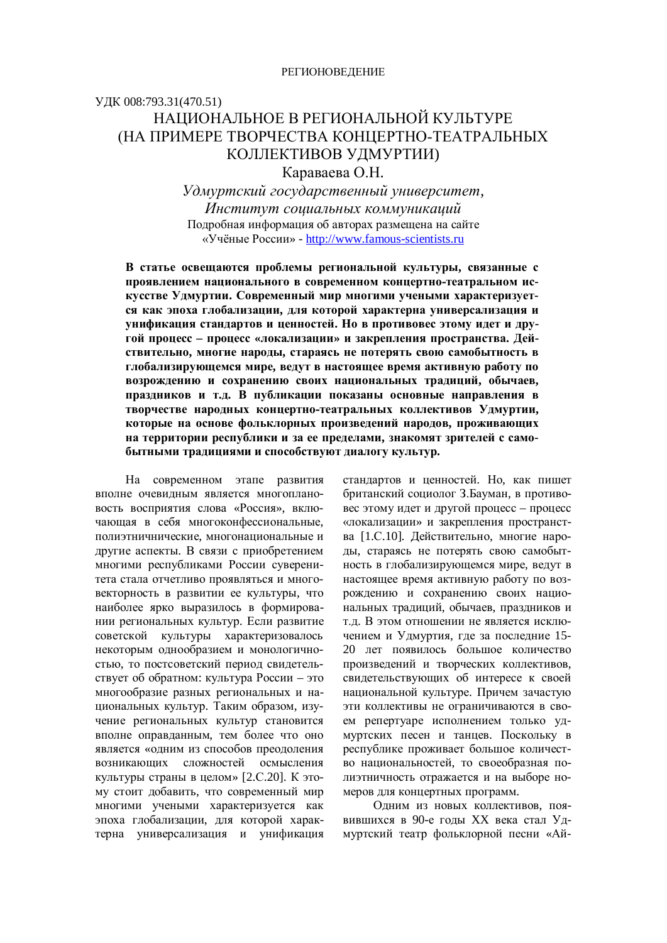## УДК 008:793.31(470.51) НАПИОНАЛЬНОЕ В РЕГИОНАЛЬНОЙ КУЛЬТУРЕ (НА ПРИМЕРЕ ТВОРЧЕСТВА КОНЦЕРТНО-ТЕАТРАЛЬНЫХ КОЛЛЕКТИВОВ УДМУРТИИ)

Караваева О.Н.

*ɍɞɦɭɪɬɫɤɢɣɝɨɫɭɞɚɪɫɬɜɟɧɧɵɣɭɧɢɜɟɪɫɢɬɟɬ,*   $H$ нститут социальных коммуникаций Подробная информация об авторах размещена на сайте «Учёные России» - http://www.famous-scientists.ru

В статье освешаются проблемы региональной культуры, связанные с проявлением национального в современном концертно-театральном искусстве Удмуртии. Современный мир многими учеными характеризуется как эпоха глобализации, для которой характерна универсализация и унификация стандартов и ценностей. Но в противовес этому идет и другой процесс - процесс «локализации» и закрепления пространства. Действительно, многие народы, стараясь не потерять свою самобытность в глобализирующемся мире, ведут в настоящее время активную работу по **возрождению и сохранению своих национальных традиций, обычаев,** праздников и т.д. В публикации показаны основные направления в творчестве народных концертно-театральных коллективов Удмуртии, которые на основе фольклорных произведений народов, проживающих на территории республики и за ее пределами, знакомят зрителей с самобытными традициями и способствуют диалогу культур.

На современном этапе развития вполне очевидным является многоплановость восприятия слова «Россия», включающая в себя многоконфессиональные. полиэтничнические, многонациональные и другие аспекты. В связи с приобретением многими республиками России суверенитета стала отчетливо проявляться и многовекторность в развитии ее культуры, что наиболее ярко выразилось в формировании региональных культур. Если развитие советской культуры характеризовалось некоторым однообразием и монологичностью, то постсоветский период свидетельствует об обратном: культура России – это многообразие разных региональных и национальных культур. Таким образом, изучение региональных культур становится вполне оправданным, тем более что оно является «одним из способов преодоления возникающих сложностей осмысления культуры страны в целом» [2.С.20]. К этому стоит добавить, что современный мир многими учеными характеризуется как эпоха глобализации, для которой характерна универсализация и унификация стандартов и ценностей. Но, как пишет британский социолог З.Бауман, в противовес этому идет и другой процесс – процесс «локализации» и закрепления пространства [1.С.10]. Действительно, многие наролы, стараясь не потерять свою самобытность в глобализирующемся мире, ведут в настоящее время активную работу по возрождению и сохранению своих национальных традиций, обычаев, праздников и т.д. В этом отношении не является исключением и Удмуртия, где за последние 15-20 лет появилось большое количество произведений и творческих коллективов, свидетельствующих об интересе к своей национальной культуре. Причем зачастую эти коллективы не ограничиваются в своем репертуаре исполнением только удмуртских песен и танцев. Поскольку в республике проживает большое количество национальностей, то своеобразная полиэтничность отражается и на выборе номеров для концертных программ.

Олним из новых коллективов, появившихся в 90-е годы XX века стал Удмуртский театр фольклорной песни «Ай-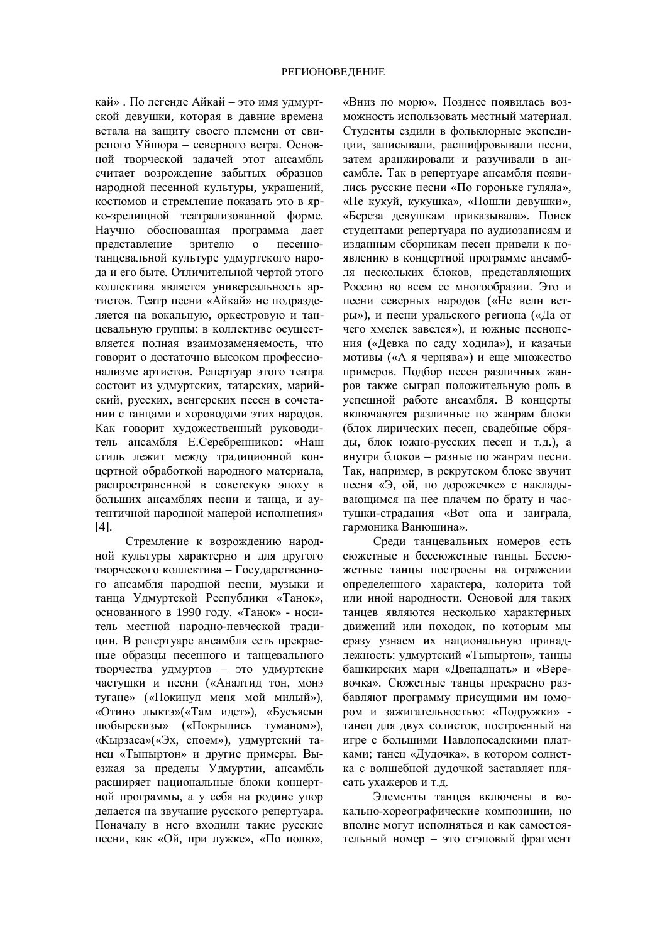кай» . По легенде Айкай – это имя удмуртской девушки, которая в давние времена встала на зашиту своего племени от свирепого Уйшора – северного ветра. Основной творческой задачей этот ансамбль считает возрождение забытых образцов народной песенной культуры, украшений, костюмов и стремление показать это в ярко-зрелищной театрализованной форме. Научно обоснованная программа лает представление зрителю о песеннотанцевальной культуре удмуртского народа и его быте. Отличительной чертой этого коллектива является универсальность артистов. Театр песни «Айкай» не подразделяется на вокальную, оркестровую и танцевальную группы: в коллективе осуществляется полная взаимозаменяемость, что говорит о достаточно высоком профессионализме артистов. Репертуар этого театра состоит из удмуртских, татарских, марийский, русских, венгерских песен в сочетании с танцами и хороводами этих народов. Как говорит художественный руководитель ансамбля Е.Серебренников: «Наш стиль лежит между традиционной концертной обработкой народного материала, распространенной в советскую эпоху в больших ансамблях песни и танца, и аутентичной народной манерой исполнения» [4].

Стремление к возрождению народной культуры характерно и для другого творческого коллектива –  $\Gamma$ осударственного ансамбля народной песни, музыки и танца Удмуртской Республики «Танок», основанного в 1990 году. «Танок» - носитель местной народно-певческой традиции. В репертуаре ансамбля есть прекрасные образцы песенного и танцевального творчества удмуртов – это удмуртские частушки и песни («Аналтид тон, монэ тугане» («Покинул меня мой милый»), «Отино лыктэ»(«Там идет»), «Бусъясын шобырскизы» («Покрылись туманом»), «Кырзаса»(«Эх, споем»), удмуртский танец «Тыпыртон» и другие примеры. Выезжая за пределы Удмуртии, ансамбль расширяет национальные блоки концертной программы, а у себя на родине упор делается на звучание русского репертуара. Поначалу в него входили такие русские песни, как «Ой, при лужке», «По полю»,

«Вниз по морю». Позднее появилась возможность использовать местный материал. Стуленты ездили в фольклорные экспелиции, записывали, расшифровывали песни, затем аранжировали и разучивали в ансамбле. Так в репертуаре ансамбля появились русские песни «По гороньке гуляла», «Не кукуй, кукушка», «Пошли девушки», «Береза девушкам приказывала». Поиск стулентами репертуара по аудиозаписям и изданным сборникам песен привели к появлению в концертной программе ансамбля нескольких блоков, представляющих Россию во всем ее многообразии. Это и песни северных народов («Не вели ветры»), и песни уральского региона («Да от чего хмелек завелся»), и южные песнопения («Девка по саду ходила»), и казачьи мотивы («А я чернява») и еще множество примеров. Подбор песен различных жанров также сыграл положительную роль в успешной работе ансамбля. В концерты включаются различные по жанрам блоки (блок лирических песен, свадебные обряды, блок южно-русских песен и т.д.), а внутри блоков – разные по жанрам песни. Так, например, в рекрутском блоке звучит песня «Э, ой, по дорожечке» с накладывающимся на нее плачем по брату и частушки-страдания «Вот она и заиграла, гармоника Ванюшина».

Среди танцевальных номеров есть сюжетные и бессюжетные танцы. Бессюжетные танцы построены на отражении определенного характера, колорита той или иной народности. Основой для таких танцев являются несколько характерных движений или походок, по которым мы сразу узнаем их национальную принадлежность: удмуртский «Тыпыртон», танцы башкирских мари «Лвеналцать» и «Веревочка». Сюжетные танцы прекрасно разбавляют программу присущими им юмором и зажигательностью: «Подружки» танец для двух солисток, построенный на игре с большими Павлопосадскими платками; танец «Дудочка», в котором солистка с волшебной дудочкой заставляет плясать ухажеров и т.д.

Элементы танцев включены в вокально-хореографические композиции, но вполне могут исполняться и как самостоятельный номер – это стэповый фрагмент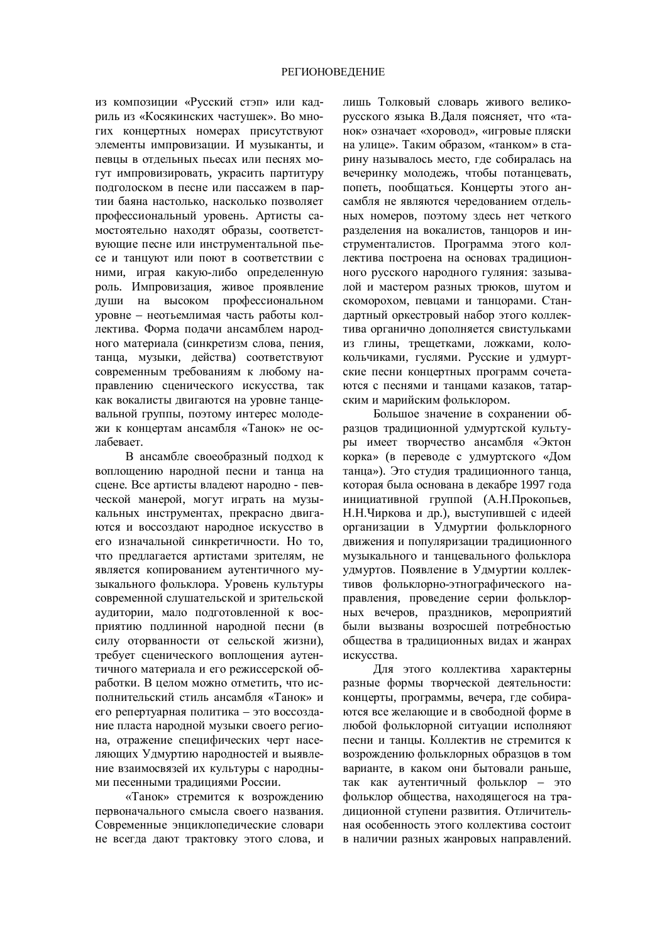из композиции «Русский стэп» или кадриль из «Косякинских частушек». Во мно-THX КОНЦЕРТНЫХ НОМЕРАХ ПРИСУТСТВУЮТ элементы импровизации. И музыканты, и певцы в отдельных пьесах или песнях могут импровизировать, украсить партитуру подголоском в песне или пассажем в партии баяна настолько, насколько позволяет профессиональный уровень. Артисты самостоятельно находят образы, соответствующие песне или инструментальной пьесе и танцуют или поют в соответствии с ними, играя какую-либо определенную роль. Импровизация, живое проявление души на высоком профессиональном уровне – неотьемлимая часть работы коллектива. Форма подачи ансамблем народного материала (синкретизм слова, пения, танца, музыки, действа) соответствуют современным требованиям к любому направлению сценического искусства, так как вокалисты двигаются на уровне танцевальной группы, поэтому интерес молодежи к концертам ансамбля «Танок» не ослабевает.

В ансамбле своеобразный подход к воплощению народной песни и танца на сцене. Все артисты владеют народно - певческой манерой, могут играть на музыкальных инструментах, прекрасно двигаы ются и воссоздают народное искусство в его изначальной синкретичности. Но то, что предлагается артистами зрителям, не является копированием аутентичного музыкального фольклора. Уровень культуры современной слушательской и зрительской аудитории, мало подготовленной к восприятию подлинной народной песни (в силу оторванности от сельской жизни), требует сценического воплощения аутентичного материала и его режиссерской обработки. В целом можно отметить, что исполнительский стиль ансамбля «Танок» и его репертуарная политика – это воссоздание пласта народной музыки своего региона, отражение специфических черт населяющих Удмуртию народностей и выявление взаимосвязей их культуры с народными песенными традициями России.

«Танок» стремится к возрождению первоначального смысла своего названия. Современные энциклопедические словари не всегда дают трактовку этого слова, и лишь Толковый словарь живого великорусского языка В.Даля поясняет, что «та-НОК» ОЗНАЧАЄТ «ХОРОВОД», «ИГРОВЫЕ ПЛЯСКИ на улице». Таким образом, «танком» в старину называлось место, где собиралась на вечеринку молодежь, чтобы потанцевать, попеть, пообщаться. Концерты этого ансамбля не являются чередованием отдельных номеров, поэтому здесь нет четкого разделения на вокалистов, танцоров и инструменталистов. Программа этого коллектива построена на основах традиционного русского народного гуляния: зазывалой и мастером разных трюков, шутом и скоморохом, певцами и танцорами. Стандартный оркестровый набор этого коллектива органично дополняется свистульками из глины, трещетками, ложками, колокольчиками, гуслями. Русские и удмуртские песни концертных программ сочетаются с песнями и танцами казаков, татарским и марийским фольклором.

Большое значение в сохранении образцов традиционной удмуртской культуры имеет творчество ансамбля «Эктон корка» (в переводе с удмуртского «Дом танца»). Это студия традиционного танца, которая была основана в декабре 1997 года инициативной группой (А.Н.Прокопьев, Н.Н.Чиркова и др.), выступившей с идеей организации в Удмуртии фольклорного движения и популяризации традиционного музыкального и танцевального фольклора удмуртов. Появление в Удмуртии коллективов фольклорно-этнографического направления, проведение серии фольклорных вечеров, праздников, мероприятий были вызваны возросшей потребностью общества в традиционных видах и жанрах искусства.

Для этого коллектива характерны разные формы творческой деятельности: концерты, программы, вечера, где собираются все желающие и в свободной форме в любой фольклорной ситуации исполняют песни и танцы. Коллектив не стремится к возрождению фольклорных образцов в том варианте, в каком они бытовали раньше, так как аутентичный фольклор – это фольклор общества, находящегося на традиционной ступени развития. Отличительная особенность этого коллектива состоит в наличии разных жанровых направлений.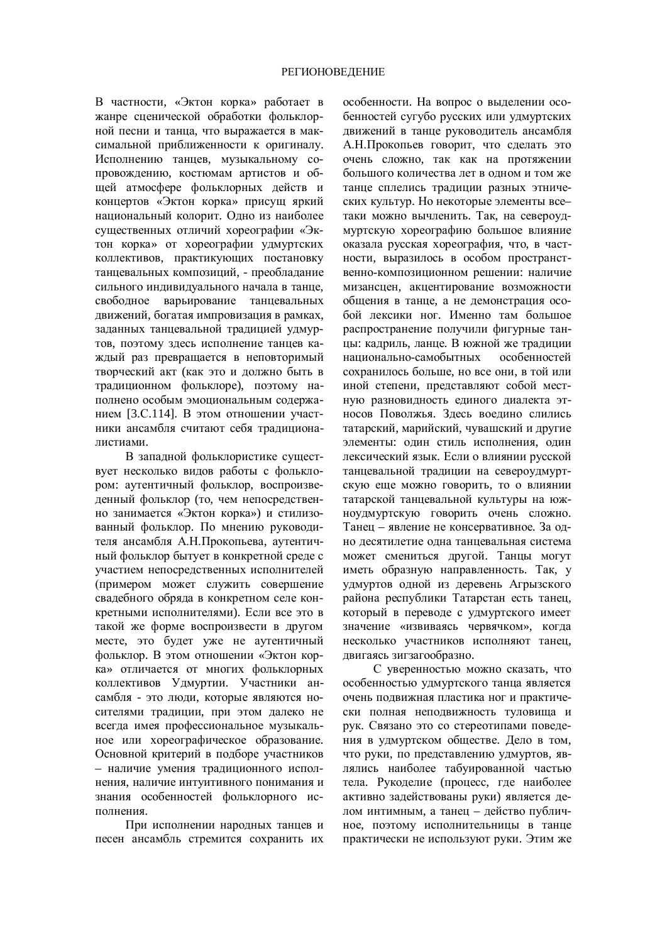В частности, «Эктон корка» работает в жанре сценической обработки фольклорной песни и танца, что выражается в максимальной приближенности к оригиналу. Исполнению танцев, музыкальному сопровождению, костюмам артистов и общей атмосфере фольклорных действ и концертов «Эктон корка» присущ яркий национальный колорит. Одно из наиболее существенных отличий хореографии «Эктон корка» от хореографии удмуртских коллективов, практикующих постановку танцевальных композиций, - преобладание сильного индивидуального начала в танце. свободное варьирование танцевальных движений, богатая импровизация в рамках, заданных танцевальной традицией удмуртов, поэтому здесь исполнение танцев каждый раз превращается в неповторимый творческий акт (как это и должно быть в традиционном фольклоре), поэтому наполнено особым эмоциональным содержанием [3.С.114]. В этом отношении участники ансамбля считают себя традиционалистиами.

В западной фольклористике существует несколько видов работы с фольклором: аутентичный фольклор, воспроизведенный фольклор (то, чем непосредственно занимается «Эктон корка») и стилизованный фольклор. По мнению руководителя ансамбля А.Н.Прокопьева, аутентичный фольклор бытует в конкретной среде с участием непосредственных исполнителей (примером может служить совершение свадебного обряда в конкретном селе конкретными исполнителями). Если все это в такой же форме воспроизвести в другом месте, это будет уже не аутентичный фольклор. В этом отношении «Эктон корка» отличается от многих фольклорных коллективов Удмуртии. Участники ансамбля - это люди, которые являются носителями традиции, при этом далеко не всегда имея профессиональное музыкальное или хореографическое образование. Основной критерий в подборе участников – наличие умения традиционного исполнения, наличие интуитивного понимания и знания особенностей фольклорного исполнения.

При исполнении народных танцев и песен ансамбль стремится сохранить их особенности. На вопрос о выделении особенностей сугубо русских или удмуртских движений в танце руководитель ансамбля А.Н.Прокопьев говорит, что сделать это очень сложно, так как на протяжении большого количества лет в одном и том же танце сплелись традиции разных этнических культур. Но некоторые элементы всетаки можно вычленить. Так, на североудмуртскую хореографию большое влияние оказала русская хореография, что, в частности, выразилось в особом пространственно-композиционном решении: наличие мизансцен, акцентирование возможности общения в танце, а не демонстрация особой лексики ног. Именно там большое распространение получили фигурные танцы: калриль, ланце. В южной же тралиции национально-самобытных особенностей сохранилось больше, но все они, в той или иной степени, представляют собой местную разновидность единого диалекта этносов Поволжья. Здесь воедино слились татарский, марийский, чувашский и другие элементы: один стиль исполнения, один лексический язык. Если о влиянии русской танцевальной традиции на североудмуртскую еще можно говорить, то о влиянии татарской танцевальной культуры на южноудмуртскую говорить очень сложно. Танец – явление не консервативное. За одно десятилетие одна танцевальная система может смениться другой. Танцы могут иметь образную направленность. Так, у удмуртов одной из деревень Агрызского района республики Татарстан есть танец, который в переводе с удмуртского имеет значение «извиваясь червячком», когда несколько участников исполняют танец, двигаясь зигзагообразно.

С уверенностью можно сказать, что особенностью удмуртского танца является очень подвижная пластика ног и практически полная неподвижность туловища и рук. Связано это со стереотипами поведения в удмуртском обществе. Дело в том, что руки, по представлению удмуртов, являлись наиболее табуированной частью тела. Руколелие (процесс, гле наиболее активно задействованы руки) является делом интимным, а танец – действо публичное, поэтому исполнительницы в танце практически не используют руки. Этим же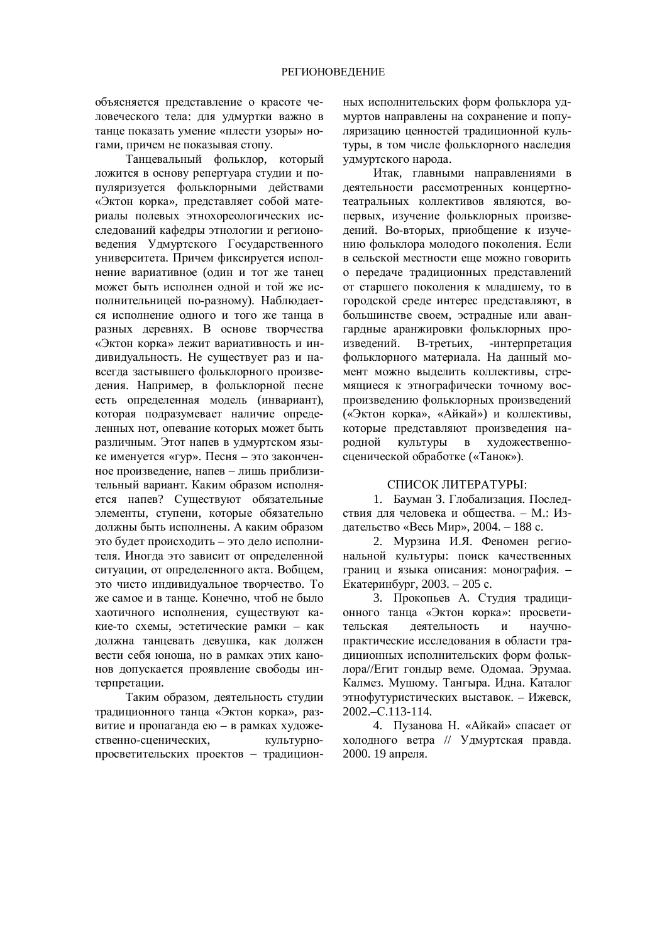объясняется представление о красоте человеческого тела: для удмуртки важно в тание показать умение «плести узоры» ногами, причем не показывая стопу.

Танцевальный фольклор, который ложится в основу репертуара студии и популяризуется фольклорными действами «Эктон корка», представляет собой материалы полевых этнохореологических исслелований кафелры этнологии и регионоведения Удмуртского Государственного университета. Причем фиксируется исполнение вариативное (один и тот же танец может быть исполнен одной и той же исполнительницей по-разному). Наблюдается исполнение одного и того же танца в разных деревнях. В основе творчества «Эктон корка» лежит вариативность и индивидуальность. Не существует раз и навсегда застывшего фольклорного произведения. Например, в фольклорной песне есть определенная модель (инвариант), которая подразумевает наличие определенных нот, опевание которых может быть различным. Этот напев в удмуртском языке именуется «гур». Песня – это законченное произведение, напев – лишь приблизительный вариант. Каким образом исполняется напев? Существуют обязательные элементы, ступени, которые обязательно должны быть исполнены. А каким образом это будет происходить – это дело исполнителя. Иногда это зависит от определенной ситуации, от определенного акта. Вобщем, это чисто индивидуальное творчество. То же самое и в танце. Конечно, чтоб не было хаотичного исполнения, существуют какие-то схемы, эстетические рамки – как должна танцевать девушка, как должен вести себя юноша, но в рамках этих канонов допускается проявление свободы интерпретации.

Таким образом, деятельность студии традиционного танца «Эктон корка», развитие и пропаганда ею - в рамках художественно-сценических, культурнопросветительских проектов – традиционных исполнительских форм фольклора удмуртов направлены на сохранение и популяризацию ценностей тралиционной культуры, в том числе фольклорного наследия удмуртского народа.

Итак, главными направлениями в деятельности рассмотренных концертнотеатральных коллективов являются, вопервых, изучение фольклорных произведений. Во-вторых, приобшение к изучению фольклора молодого поколения. Если в сельской местности еще можно говорить о передаче традиционных представлений от старшего поколения к младшему, то в городской среде интерес представляют, в большинстве своем, эстрадные или авангардные аранжировки фольклорных произвелений. В-третьих. -интерпретация фольклорного материала. На данный момент можно выделить коллективы, стремящиеся к этнографически точному воспроизведению фольклорных произведений («Эктон корка», «Айкай») и коллективы, которые представляют произведения народной культуры в художественносценической обработке («Танок»).

## СПИСОК ЛИТЕРАТУРЫ:

1. Бауман З. Глобализация. Последствия для человека и общества. – М.: Издательство «Весь Мир», 2004. – 188 с.

2. Мурзина И.Я. Феномен региональной культуры: поиск качественных границ и языка описания: монография. -Екатеринбург, 2003. – 205 с.

3. Прокопьев А. Студия традиционного танца «Эктон корка»: просветительская деятельность и научнопрактические исследования в области традиционных исполнительских форм фольклора//Егит гондыр веме. Одомаа. Эрумаа. Калмез. Мушому. Тангыра. Идна. Каталог этнофутуристических выставок. – Ижевск, 2002.–ɋ.113-114.

4. Пузанова Н. «Айкай» спасает от холодного ветра // Удмуртская правда. 2000. 19 апреля.